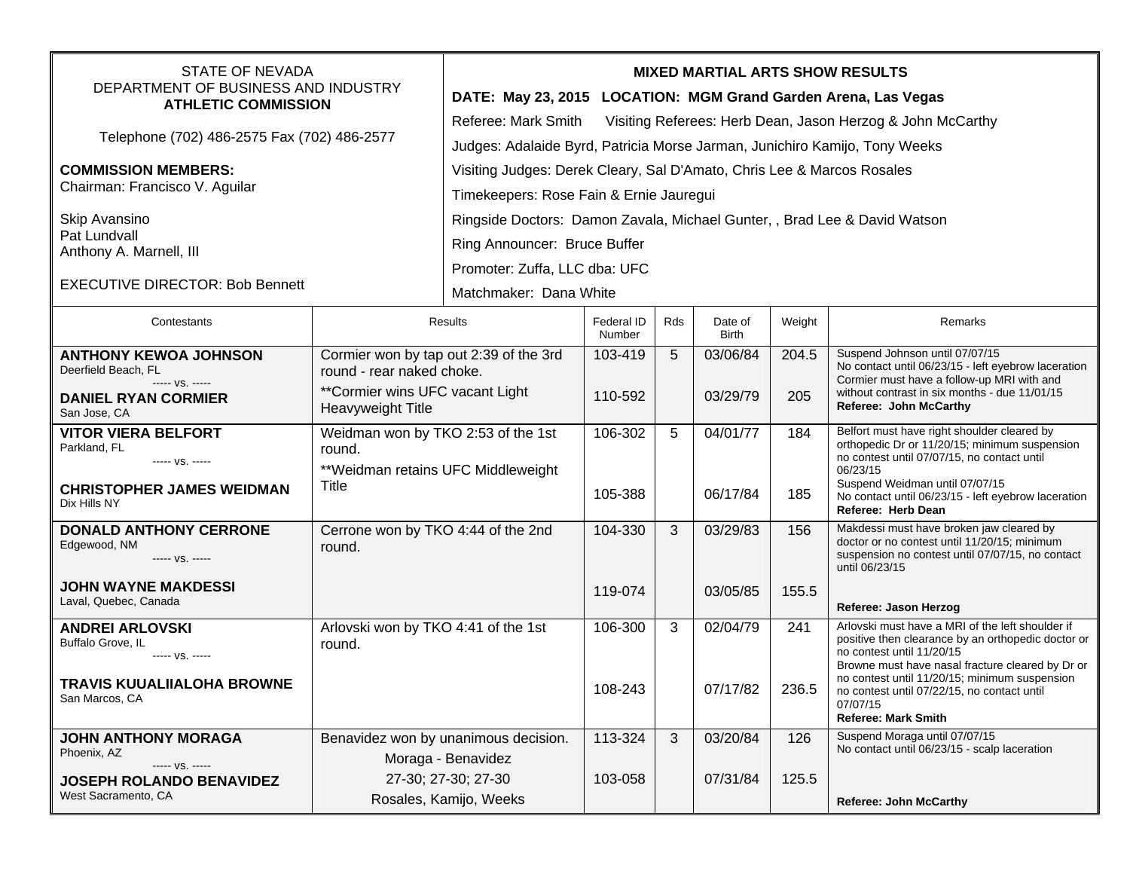| <b>STATE OF NEVADA</b><br>DEPARTMENT OF BUSINESS AND INDUSTRY<br><b>ATHLETIC COMMISSION</b> |                                                                                                                             | <b>MIXED MARTIAL ARTS SHOW RESULTS</b>                                            |                      |     |                         |        |                                                                                                                                                                                            |  |  |
|---------------------------------------------------------------------------------------------|-----------------------------------------------------------------------------------------------------------------------------|-----------------------------------------------------------------------------------|----------------------|-----|-------------------------|--------|--------------------------------------------------------------------------------------------------------------------------------------------------------------------------------------------|--|--|
|                                                                                             |                                                                                                                             | DATE: May 23, 2015 LOCATION: MGM Grand Garden Arena, Las Vegas                    |                      |     |                         |        |                                                                                                                                                                                            |  |  |
| Telephone (702) 486-2575 Fax (702) 486-2577                                                 |                                                                                                                             | Visiting Referees: Herb Dean, Jason Herzog & John McCarthy<br>Referee: Mark Smith |                      |     |                         |        |                                                                                                                                                                                            |  |  |
|                                                                                             |                                                                                                                             | Judges: Adalaide Byrd, Patricia Morse Jarman, Junichiro Kamijo, Tony Weeks        |                      |     |                         |        |                                                                                                                                                                                            |  |  |
| <b>COMMISSION MEMBERS:</b><br>Chairman: Francisco V. Aguilar                                |                                                                                                                             | Visiting Judges: Derek Cleary, Sal D'Amato, Chris Lee & Marcos Rosales            |                      |     |                         |        |                                                                                                                                                                                            |  |  |
|                                                                                             |                                                                                                                             | Timekeepers: Rose Fain & Ernie Jauregui                                           |                      |     |                         |        |                                                                                                                                                                                            |  |  |
| Skip Avansino<br>Pat Lundvall<br>Anthony A. Marnell, III                                    |                                                                                                                             | Ringside Doctors: Damon Zavala, Michael Gunter, , Brad Lee & David Watson         |                      |     |                         |        |                                                                                                                                                                                            |  |  |
|                                                                                             |                                                                                                                             | Ring Announcer: Bruce Buffer                                                      |                      |     |                         |        |                                                                                                                                                                                            |  |  |
| <b>EXECUTIVE DIRECTOR: Bob Bennett</b>                                                      |                                                                                                                             | Promoter: Zuffa, LLC dba: UFC                                                     |                      |     |                         |        |                                                                                                                                                                                            |  |  |
|                                                                                             |                                                                                                                             | Matchmaker: Dana White                                                            |                      |     |                         |        |                                                                                                                                                                                            |  |  |
| Contestants                                                                                 | Results                                                                                                                     |                                                                                   | Federal ID<br>Number | Rds | Date of<br><b>Birth</b> | Weight | Remarks                                                                                                                                                                                    |  |  |
| <b>ANTHONY KEWOA JOHNSON</b><br>Deerfield Beach, FL                                         | Cormier won by tap out 2:39 of the 3rd<br>round - rear naked choke.<br>**Cormier wins UFC vacant Light<br>Heavyweight Title |                                                                                   | 103-419              | 5   | 03/06/84                | 204.5  | Suspend Johnson until 07/07/15<br>No contact until 06/23/15 - left eyebrow laceration                                                                                                      |  |  |
| ----- VS. -----<br><b>DANIEL RYAN CORMIER</b><br>San Jose, CA                               |                                                                                                                             |                                                                                   | 110-592              |     | 03/29/79                | 205    | Cormier must have a follow-up MRI with and<br>without contrast in six months - due 11/01/15<br>Referee: John McCarthy                                                                      |  |  |
| <b>VITOR VIERA BELFORT</b><br>Parkland, FL<br>----- VS. -----                               | Weidman won by TKO 2:53 of the 1st<br>round.<br>** Weidman retains UFC Middleweight<br>Title                                |                                                                                   | 106-302              | 5   | 04/01/77                | 184    | Belfort must have right shoulder cleared by<br>orthopedic Dr or 11/20/15; minimum suspension<br>no contest until 07/07/15, no contact until<br>06/23/15                                    |  |  |
| <b>CHRISTOPHER JAMES WEIDMAN</b><br>Dix Hills NY                                            |                                                                                                                             |                                                                                   | 105-388              |     | 06/17/84                | 185    | Suspend Weidman until 07/07/15<br>No contact until 06/23/15 - left eyebrow laceration<br>Referee: Herb Dean                                                                                |  |  |
| <b>DONALD ANTHONY CERRONE</b><br>Edgewood, NM<br>----- VS. -----                            | Cerrone won by TKO 4:44 of the 2nd<br>round.                                                                                |                                                                                   | 104-330              | 3   | 03/29/83                | 156    | Makdessi must have broken jaw cleared by<br>doctor or no contest until 11/20/15; minimum<br>suspension no contest until 07/07/15, no contact<br>until 06/23/15                             |  |  |
| <b>JOHN WAYNE MAKDESSI</b><br>Laval, Quebec, Canada                                         |                                                                                                                             |                                                                                   | 119-074              |     | 03/05/85                | 155.5  | Referee: Jason Herzog                                                                                                                                                                      |  |  |
| <b>ANDREI ARLOVSKI</b><br>Buffalo Grove, IL<br>----- VS. -----                              | Arlovski won by TKO 4:41 of the 1st<br>round.                                                                               |                                                                                   | 106-300              | 3   | 02/04/79                | 241    | Arlovski must have a MRI of the left shoulder if<br>positive then clearance by an orthopedic doctor or<br>no contest until 11/20/15                                                        |  |  |
| <b>TRAVIS KUUALIIALOHA BROWNE</b><br>San Marcos, CA                                         |                                                                                                                             |                                                                                   | 108-243              |     | 07/17/82                | 236.5  | Browne must have nasal fracture cleared by Dr or<br>no contest until 11/20/15; minimum suspension<br>no contest until 07/22/15, no contact until<br>07/07/15<br><b>Referee: Mark Smith</b> |  |  |
| JOHN ANTHONY MORAGA<br>Phoenix, AZ<br>----- VS. -----                                       | Benavidez won by unanimous decision.<br>Moraga - Benavidez                                                                  |                                                                                   | 113-324              | 3   | 03/20/84                | 126    | Suspend Moraga until 07/07/15<br>No contact until 06/23/15 - scalp laceration                                                                                                              |  |  |
| <b>JOSEPH ROLANDO BENAVIDEZ</b><br>West Sacramento, CA                                      |                                                                                                                             | 27-30; 27-30; 27-30<br>Rosales, Kamijo, Weeks                                     | 103-058              |     | 07/31/84                | 125.5  | <b>Referee: John McCarthy</b>                                                                                                                                                              |  |  |